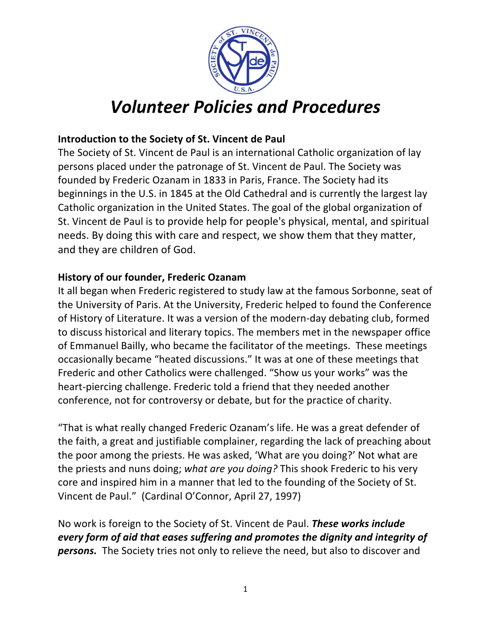

# *Volunteer Policies and Procedures*

# **Introduction to the Society of St. Vincent de Paul**

The Society of St. Vincent de Paul is an international Catholic organization of lay persons placed under the patronage of St. Vincent de Paul. The Society was founded by Frederic Ozanam in 1833 in Paris, France. The Society had its beginnings in the U.S. in 1845 at the Old Cathedral and is currently the largest lay Catholic organization in the United States. The goal of the global organization of St. Vincent de Paul is to provide help for people's physical, mental, and spiritual needs. By doing this with care and respect, we show them that they matter, and they are children of God.

#### **History of our founder, Frederic Ozanam**

It all began when Frederic registered to study law at the famous Sorbonne, seat of the University of Paris. At the University, Frederic helped to found the Conference of History of Literature. It was a version of the modern-day debating club, formed to discuss historical and literary topics. The members met in the newspaper office of Emmanuel Bailly, who became the facilitator of the meetings. These meetings occasionally became "heated discussions." It was at one of these meetings that Frederic and other Catholics were challenged. "Show us your works" was the heart-piercing challenge. Frederic told a friend that they needed another conference, not for controversy or debate, but for the practice of charity.

"That is what really changed Frederic Ozanam's life. He was a great defender of the faith, a great and justifiable complainer, regarding the lack of preaching about the poor among the priests. He was asked, 'What are you doing?' Not what are the priests and nuns doing; what are you doing? This shook Frederic to his very core and inspired him in a manner that led to the founding of the Society of St. Vincent de Paul." (Cardinal O'Connor, April 27, 1997)

No work is foreign to the Society of St. Vincent de Paul. **These works include** *every form of aid that eases suffering and promotes the dignity and integrity of* **persons.** The Society tries not only to relieve the need, but also to discover and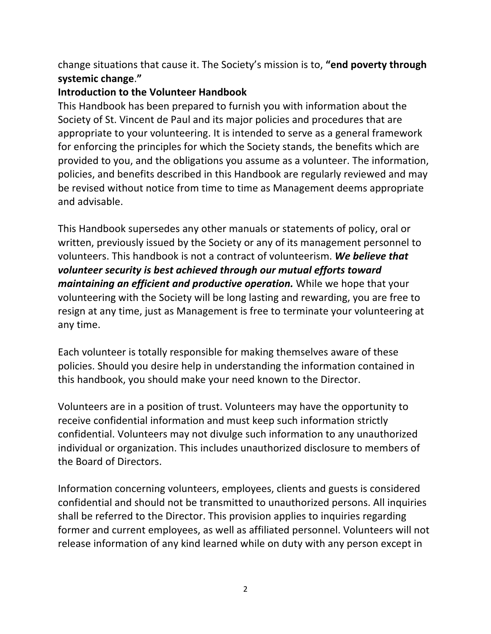change situations that cause it. The Society's mission is to, "end poverty through **systemic change**.**"**

#### **Introduction to the Volunteer Handbook**

This Handbook has been prepared to furnish you with information about the Society of St. Vincent de Paul and its major policies and procedures that are appropriate to your volunteering. It is intended to serve as a general framework for enforcing the principles for which the Society stands, the benefits which are provided to you, and the obligations you assume as a volunteer. The information, policies, and benefits described in this Handbook are regularly reviewed and may be revised without notice from time to time as Management deems appropriate and advisable.

This Handbook supersedes any other manuals or statements of policy, oral or written, previously issued by the Society or any of its management personnel to volunteers. This handbook is not a contract of volunteerism. We believe that volunteer security is best achieved through our mutual efforts toward *maintaining an efficient and productive operation.* While we hope that your volunteering with the Society will be long lasting and rewarding, you are free to resign at any time, just as Management is free to terminate your volunteering at any time.

Each volunteer is totally responsible for making themselves aware of these policies. Should you desire help in understanding the information contained in this handbook, you should make your need known to the Director.

Volunteers are in a position of trust. Volunteers may have the opportunity to receive confidential information and must keep such information strictly confidential. Volunteers may not divulge such information to any unauthorized individual or organization. This includes unauthorized disclosure to members of the Board of Directors.

Information concerning volunteers, employees, clients and guests is considered confidential and should not be transmitted to unauthorized persons. All inquiries shall be referred to the Director. This provision applies to inquiries regarding former and current employees, as well as affiliated personnel. Volunteers will not release information of any kind learned while on duty with any person except in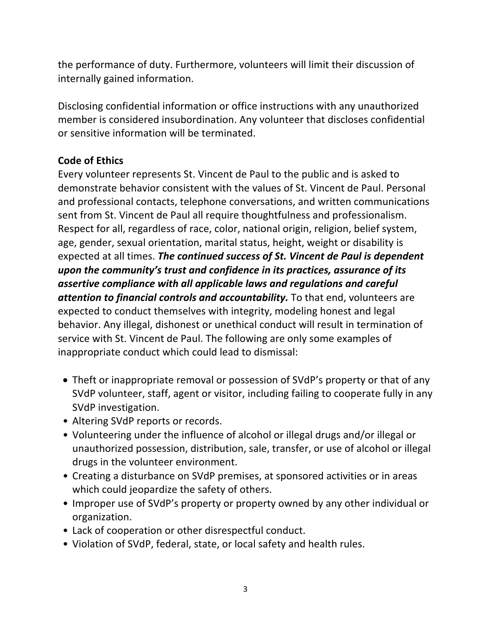the performance of duty. Furthermore, volunteers will limit their discussion of internally gained information.

Disclosing confidential information or office instructions with any unauthorized member is considered insubordination. Any volunteer that discloses confidential or sensitive information will be terminated.

#### **Code of Ethics**

Every volunteer represents St. Vincent de Paul to the public and is asked to demonstrate behavior consistent with the values of St. Vincent de Paul. Personal and professional contacts, telephone conversations, and written communications sent from St. Vincent de Paul all require thoughtfulness and professionalism. Respect for all, regardless of race, color, national origin, religion, belief system, age, gender, sexual orientation, marital status, height, weight or disability is expected at all times. The continued success of St. Vincent de Paul is dependent *upon the community's trust and confidence in its practices, assurance of its assertive compliance with all applicable laws and regulations and careful attention to financial controls and accountability.* To that end, volunteers are expected to conduct themselves with integrity, modeling honest and legal behavior. Any illegal, dishonest or unethical conduct will result in termination of service with St. Vincent de Paul. The following are only some examples of inappropriate conduct which could lead to dismissal:

- Theft or inappropriate removal or possession of SVdP's property or that of any SVdP volunteer, staff, agent or visitor, including failing to cooperate fully in any SVdP investigation.
- Altering SVdP reports or records.
- Volunteering under the influence of alcohol or illegal drugs and/or illegal or unauthorized possession, distribution, sale, transfer, or use of alcohol or illegal drugs in the volunteer environment.
- Creating a disturbance on SVdP premises, at sponsored activities or in areas which could jeopardize the safety of others.
- Improper use of SVdP's property or property owned by any other individual or organization.
- Lack of cooperation or other disrespectful conduct.
- Violation of SVdP, federal, state, or local safety and health rules.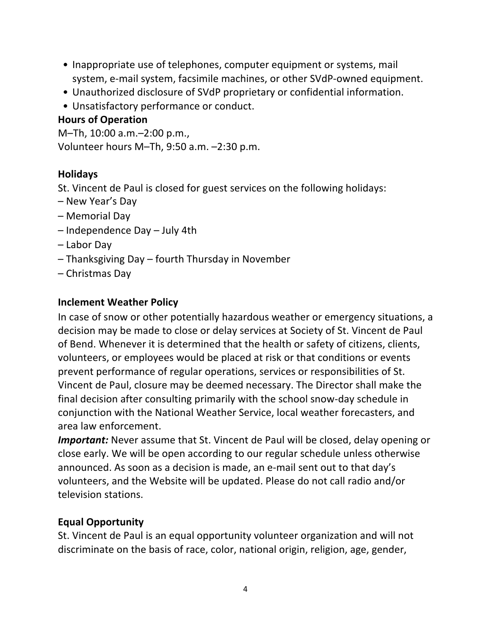- Inappropriate use of telephones, computer equipment or systems, mail system, e-mail system, facsimile machines, or other SVdP-owned equipment.
- Unauthorized disclosure of SVdP proprietary or confidential information.
- Unsatisfactory performance or conduct.

# **Hours of Operation**

M-Th, 10:00 a.m.-2:00 p.m., Volunteer hours M-Th, 9:50 a.m. -2:30 p.m.

# **Holidays**

St. Vincent de Paul is closed for guest services on the following holidays:

- New Year's Day
- Memorial Day
- $-$  Independence Day  $-$  July 4th
- Labor Day
- $-$  Thanksgiving Day  $-$  fourth Thursday in November
- Christmas Day

# **Inclement Weather Policy**

In case of snow or other potentially hazardous weather or emergency situations, a decision may be made to close or delay services at Society of St. Vincent de Paul of Bend. Whenever it is determined that the health or safety of citizens, clients, volunteers, or employees would be placed at risk or that conditions or events prevent performance of regular operations, services or responsibilities of St. Vincent de Paul, closure may be deemed necessary. The Director shall make the final decision after consulting primarily with the school snow-day schedule in conjunction with the National Weather Service, local weather forecasters, and area law enforcement. 

*Important:* Never assume that St. Vincent de Paul will be closed, delay opening or close early. We will be open according to our regular schedule unless otherwise announced. As soon as a decision is made, an e-mail sent out to that day's volunteers, and the Website will be updated. Please do not call radio and/or television stations.

# **Equal Opportunity**

St. Vincent de Paul is an equal opportunity volunteer organization and will not discriminate on the basis of race, color, national origin, religion, age, gender,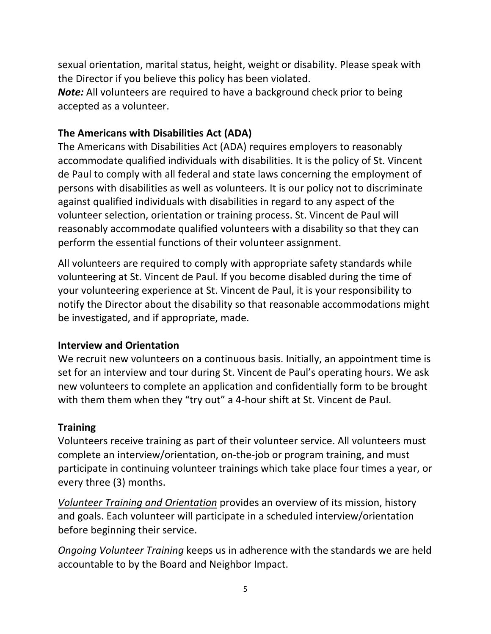sexual orientation, marital status, height, weight or disability. Please speak with the Director if you believe this policy has been violated.

*Note:* All volunteers are required to have a background check prior to being accepted as a volunteer.

# **The Americans with Disabilities Act (ADA)**

The Americans with Disabilities Act (ADA) requires employers to reasonably accommodate qualified individuals with disabilities. It is the policy of St. Vincent de Paul to comply with all federal and state laws concerning the employment of persons with disabilities as well as volunteers. It is our policy not to discriminate against qualified individuals with disabilities in regard to any aspect of the volunteer selection, orientation or training process. St. Vincent de Paul will reasonably accommodate qualified volunteers with a disability so that they can perform the essential functions of their volunteer assignment.

All volunteers are required to comply with appropriate safety standards while volunteering at St. Vincent de Paul. If you become disabled during the time of your volunteering experience at St. Vincent de Paul, it is your responsibility to notify the Director about the disability so that reasonable accommodations might be investigated, and if appropriate, made.

# **Interview and Orientation**

We recruit new volunteers on a continuous basis. Initially, an appointment time is set for an interview and tour during St. Vincent de Paul's operating hours. We ask new volunteers to complete an application and confidentially form to be brought with them them when they "try out" a 4-hour shift at St. Vincent de Paul.

#### **Training**

Volunteers receive training as part of their volunteer service. All volunteers must complete an interview/orientation, on-the-job or program training, and must participate in continuing volunteer trainings which take place four times a year, or every three (3) months.

*Volunteer Training and Orientation* provides an overview of its mission, history and goals. Each volunteer will participate in a scheduled interview/orientation before beginning their service.

**Ongoing Volunteer Training keeps us in adherence with the standards we are held** accountable to by the Board and Neighbor Impact.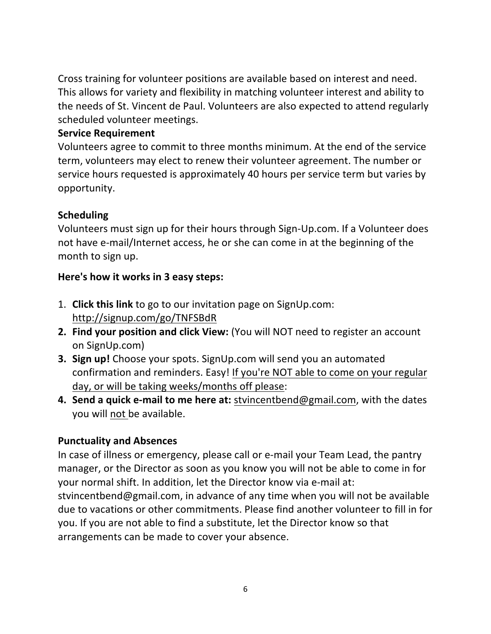Cross training for volunteer positions are available based on interest and need. This allows for variety and flexibility in matching volunteer interest and ability to the needs of St. Vincent de Paul. Volunteers are also expected to attend regularly scheduled volunteer meetings.

#### **Service Requirement**

Volunteers agree to commit to three months minimum. At the end of the service term, volunteers may elect to renew their volunteer agreement. The number or service hours requested is approximately 40 hours per service term but varies by opportunity. 

# **Scheduling**

Volunteers must sign up for their hours through Sign-Up.com. If a Volunteer does not have e-mail/Internet access, he or she can come in at the beginning of the month to sign up.

# Here's how it works in 3 easy steps:

- 1. **Click this link** to go to our invitation page on SignUp.com: http://signup.com/go/TNFSBdR
- **2. Find your position and click View:** (You will NOT need to register an account on SignUp.com)
- **3. Sign up!** Choose your spots. SignUp.com will send you an automated confirmation and reminders. Easy! If you're NOT able to come on your regular day, or will be taking weeks/months off please:
- **4. Send a quick e-mail to me here at:** stvincentbend@gmail.com, with the dates you will not be available.

# **Punctuality and Absences**

In case of illness or emergency, please call or e-mail your Team Lead, the pantry manager, or the Director as soon as you know you will not be able to come in for your normal shift. In addition, let the Director know via e-mail at: stvincentbend@gmail.com, in advance of any time when you will not be available due to vacations or other commitments. Please find another volunteer to fill in for you. If you are not able to find a substitute, let the Director know so that arrangements can be made to cover your absence.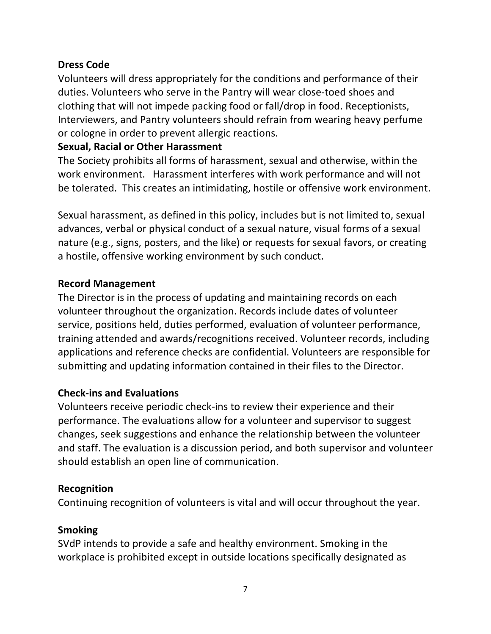#### **Dress Code**

Volunteers will dress appropriately for the conditions and performance of their duties. Volunteers who serve in the Pantry will wear close-toed shoes and clothing that will not impede packing food or fall/drop in food. Receptionists, Interviewers, and Pantry volunteers should refrain from wearing heavy perfume or cologne in order to prevent allergic reactions.

#### **Sexual, Racial or Other Harassment**

The Society prohibits all forms of harassment, sexual and otherwise, within the work environment. Harassment interferes with work performance and will not be tolerated. This creates an intimidating, hostile or offensive work environment.

Sexual harassment, as defined in this policy, includes but is not limited to, sexual advances, verbal or physical conduct of a sexual nature, visual forms of a sexual nature (e.g., signs, posters, and the like) or requests for sexual favors, or creating a hostile, offensive working environment by such conduct.

#### **Record Management**

The Director is in the process of updating and maintaining records on each volunteer throughout the organization. Records include dates of volunteer service, positions held, duties performed, evaluation of volunteer performance, training attended and awards/recognitions received. Volunteer records, including applications and reference checks are confidential. Volunteers are responsible for submitting and updating information contained in their files to the Director.

# **Check-ins and Evaluations**

Volunteers receive periodic check-ins to review their experience and their performance. The evaluations allow for a volunteer and supervisor to suggest changes, seek suggestions and enhance the relationship between the volunteer and staff. The evaluation is a discussion period, and both supervisor and volunteer should establish an open line of communication.

#### **Recognition**

Continuing recognition of volunteers is vital and will occur throughout the year.

#### **Smoking**

SVdP intends to provide a safe and healthy environment. Smoking in the workplace is prohibited except in outside locations specifically designated as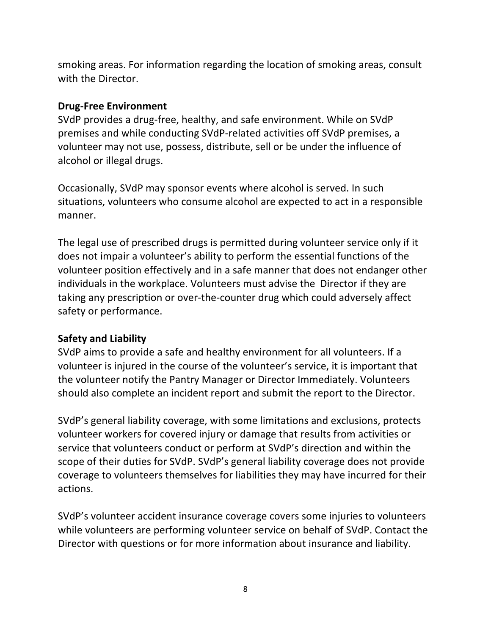smoking areas. For information regarding the location of smoking areas, consult with the Director.

#### **Drug-Free Environment**

SVdP provides a drug-free, healthy, and safe environment. While on SVdP premises and while conducting SVdP-related activities off SVdP premises, a volunteer may not use, possess, distribute, sell or be under the influence of alcohol or illegal drugs.

Occasionally, SVdP may sponsor events where alcohol is served. In such situations, volunteers who consume alcohol are expected to act in a responsible manner.

The legal use of prescribed drugs is permitted during volunteer service only if it does not impair a volunteer's ability to perform the essential functions of the volunteer position effectively and in a safe manner that does not endanger other individuals in the workplace. Volunteers must advise the Director if they are taking any prescription or over-the-counter drug which could adversely affect safety or performance.

#### **Safety and Liability**

SVdP aims to provide a safe and healthy environment for all volunteers. If a volunteer is injured in the course of the volunteer's service, it is important that the volunteer notify the Pantry Manager or Director Immediately. Volunteers should also complete an incident report and submit the report to the Director.

SVdP's general liability coverage, with some limitations and exclusions, protects volunteer workers for covered injury or damage that results from activities or service that volunteers conduct or perform at SVdP's direction and within the scope of their duties for SVdP. SVdP's general liability coverage does not provide coverage to volunteers themselves for liabilities they may have incurred for their actions.

SVdP's volunteer accident insurance coverage covers some injuries to volunteers while volunteers are performing volunteer service on behalf of SVdP. Contact the Director with questions or for more information about insurance and liability.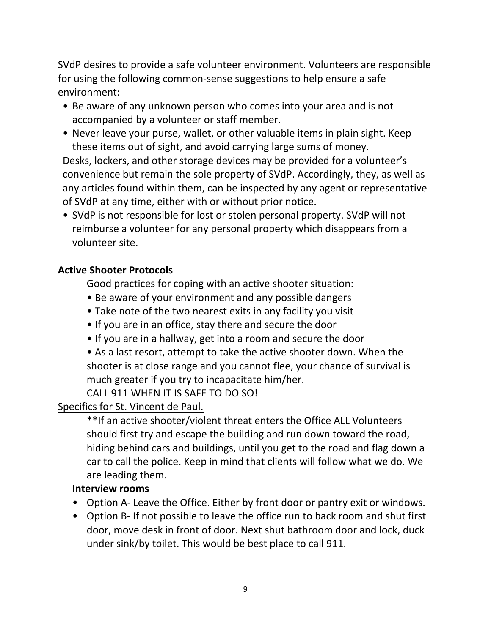SVdP desires to provide a safe volunteer environment. Volunteers are responsible for using the following common-sense suggestions to help ensure a safe environment:

- Be aware of any unknown person who comes into your area and is not accompanied by a volunteer or staff member.
- Never leave your purse, wallet, or other valuable items in plain sight. Keep these items out of sight, and avoid carrying large sums of money.

Desks, lockers, and other storage devices may be provided for a volunteer's convenience but remain the sole property of SVdP. Accordingly, they, as well as any articles found within them, can be inspected by any agent or representative of SVdP at any time, either with or without prior notice.

• SVdP is not responsible for lost or stolen personal property. SVdP will not reimburse a volunteer for any personal property which disappears from a volunteer site.

# **Active Shooter Protocols**

Good practices for coping with an active shooter situation:

- Be aware of your environment and any possible dangers
- Take note of the two nearest exits in any facility you visit
- If you are in an office, stay there and secure the door
- If you are in a hallway, get into a room and secure the door
- As a last resort, attempt to take the active shooter down. When the shooter is at close range and you cannot flee, your chance of survival is much greater if you try to incapacitate him/her.

CALL 911 WHEN IT IS SAFE TO DO SO!

# Specifics for St. Vincent de Paul.

\*\*If an active shooter/violent threat enters the Office ALL Volunteers should first try and escape the building and run down toward the road, hiding behind cars and buildings, until you get to the road and flag down a car to call the police. Keep in mind that clients will follow what we do. We are leading them.

#### **Interview rooms**

- Option A- Leave the Office. Either by front door or pantry exit or windows.
- Option B- If not possible to leave the office run to back room and shut first door, move desk in front of door. Next shut bathroom door and lock, duck under sink/by toilet. This would be best place to call 911.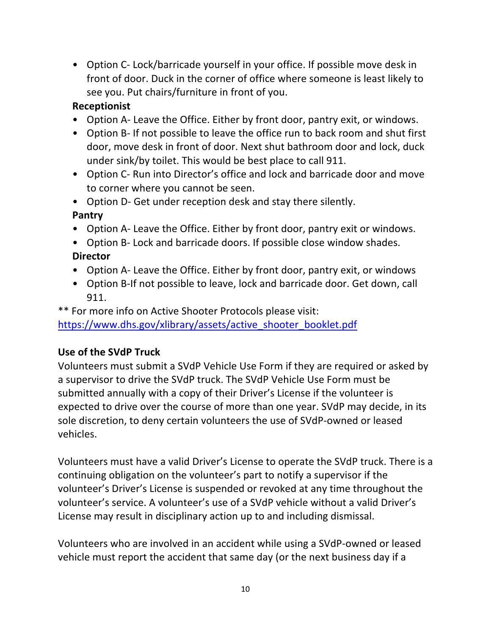• Option C- Lock/barricade yourself in your office. If possible move desk in front of door. Duck in the corner of office where someone is least likely to see you. Put chairs/furniture in front of you.

# **Receptionist**

- Option A- Leave the Office. Either by front door, pantry exit, or windows.
- Option B- If not possible to leave the office run to back room and shut first door, move desk in front of door. Next shut bathroom door and lock, duck under sink/by toilet. This would be best place to call 911.
- Option C- Run into Director's office and lock and barricade door and move to corner where you cannot be seen.
- Option D- Get under reception desk and stay there silently. **Pantry**
- Option A- Leave the Office. Either by front door, pantry exit or windows.
- Option B- Lock and barricade doors. If possible close window shades. **Director**
- Option A- Leave the Office. Either by front door, pantry exit, or windows
- Option B-If not possible to leave, lock and barricade door. Get down, call 911.

\*\* For more info on Active Shooter Protocols please visit: https://www.dhs.gov/xlibrary/assets/active\_shooter\_booklet.pdf

# Use of the SVdP Truck

Volunteers must submit a SVdP Vehicle Use Form if they are required or asked by a supervisor to drive the SVdP truck. The SVdP Vehicle Use Form must be submitted annually with a copy of their Driver's License if the volunteer is expected to drive over the course of more than one year. SVdP may decide, in its sole discretion, to deny certain volunteers the use of SVdP-owned or leased vehicles.

Volunteers must have a valid Driver's License to operate the SVdP truck. There is a continuing obligation on the volunteer's part to notify a supervisor if the volunteer's Driver's License is suspended or revoked at any time throughout the volunteer's service. A volunteer's use of a SVdP vehicle without a valid Driver's License may result in disciplinary action up to and including dismissal.

Volunteers who are involved in an accident while using a SVdP-owned or leased vehicle must report the accident that same day (or the next business day if a